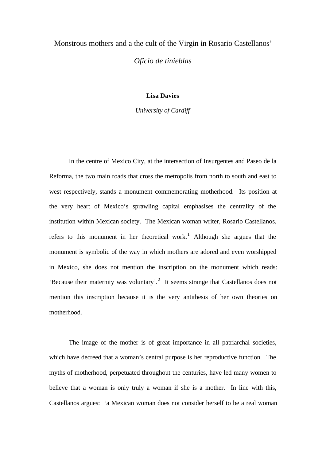# Monstrous mothers and a the cult of the Virgin in Rosario Castellanos'

## *Oficio de tinieblas*

### **Lisa Davies**

*University of Cardiff*

In the centre of Mexico City, at the intersection of Insurgentes and Paseo de la Reforma, the two main roads that cross the metropolis from north to south and east to west respectively, stands a monument commemorating motherhood. Its position at the very heart of Mexico's sprawling capital emphasises the centrality of the institution within Mexican society. The Mexican woman writer, Rosario Castellanos, refers to this monument in her theoretical work.<sup>1</sup> Although she argues that the monument is symbolic of the way in which mothers are adored and even worshipped in Mexico, she does not mention the inscription on the monument which reads: 'Because their maternity was voluntary'.<sup>2</sup> It seems strange that Castellanos does not mention this inscription because it is the very antithesis of her own theories on motherhood.

The image of the mother is of great importance in all patriarchal societies, which have decreed that a woman's central purpose is her reproductive function. The myths of motherhood, perpetuated throughout the centuries, have led many women to believe that a woman is only truly a woman if she is a mother. In line with this, Castellanos argues: 'a Mexican woman does not consider herself to be a real woman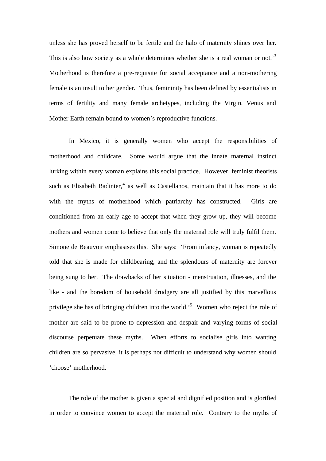unless she has proved herself to be fertile and the halo of maternity shines over her. This is also how society as a whole determines whether she is a real woman or not.<sup>3</sup> Motherhood is therefore a pre-requisite for social acceptance and a non-mothering female is an insult to her gender. Thus, femininity has been defined by essentialists in terms of fertility and many female archetypes, including the Virgin, Venus and Mother Earth remain bound to women's reproductive functions.

In Mexico, it is generally women who accept the responsibilities of motherhood and childcare. Some would argue that the innate maternal instinct lurking within every woman explains this social practice. However, feminist theorists such as Elisabeth Badinter, $4$  as well as Castellanos, maintain that it has more to do with the myths of motherhood which patriarchy has constructed. Girls are conditioned from an early age to accept that when they grow up, they will become mothers and women come to believe that only the maternal role will truly fulfil them. Simone de Beauvoir emphasises this. She says: 'From infancy, woman is repeatedly told that she is made for childbearing, and the splendours of maternity are forever being sung to her. The drawbacks of her situation - menstruation, illnesses, and the like - and the boredom of household drudgery are all justified by this marvellous privilege she has of bringing children into the world.<sup>5</sup> Women who reject the role of mother are said to be prone to depression and despair and varying forms of social discourse perpetuate these myths. When efforts to socialise girls into wanting children are so pervasive, it is perhaps not difficult to understand why women should 'choose' motherhood.

The role of the mother is given a special and dignified position and is glorified in order to convince women to accept the maternal role. Contrary to the myths of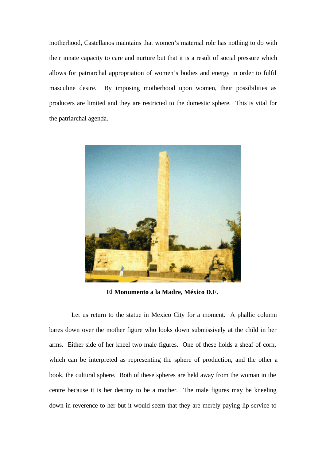motherhood, Castellanos maintains that women's maternal role has nothing to do with their innate capacity to care and nurture but that it is a result of social pressure which allows for patriarchal appropriation of women's bodies and energy in order to fulfil masculine desire. By imposing motherhood upon women, their possibilities as producers are limited and they are restricted to the domestic sphere. This is vital for the patriarchal agenda.



**El Monumento a la Madre, México D.F.**

 Let us return to the statue in Mexico City for a moment. A phallic column bares down over the mother figure who looks down submissively at the child in her arms. Either side of her kneel two male figures. One of these holds a sheaf of corn, which can be interpreted as representing the sphere of production, and the other a book, the cultural sphere. Both of these spheres are held away from the woman in the centre because it is her destiny to be a mother. The male figures may be kneeling down in reverence to her but it would seem that they are merely paying lip service to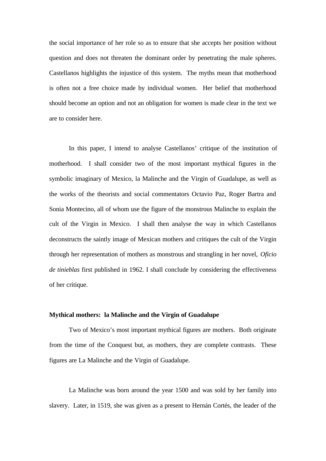the social importance of her role so as to ensure that she accepts her position without question and does not threaten the dominant order by penetrating the male spheres. Castellanos highlights the injustice of this system. The myths mean that motherhood is often not a free choice made by individual women. Her belief that motherhood should become an option and not an obligation for women is made clear in the text we are to consider here.

In this paper, I intend to analyse Castellanos' critique of the institution of motherhood. I shall consider two of the most important mythical figures in the symbolic imaginary of Mexico, la Malinche and the Virgin of Guadalupe, as well as the works of the theorists and social commentators Octavio Paz, Roger Bartra and Sonia Montecino, all of whom use the figure of the monstrous Malinche to explain the cult of the Virgin in Mexico. I shall then analyse the way in which Castellanos deconstructs the saintly image of Mexican mothers and critiques the cult of the Virgin through her representation of mothers as monstrous and strangling in her novel, *Oficio de tinieblas* first published in 1962. I shall conclude by considering the effectiveness of her critique.

### **Mythical mothers: la Malinche and the Virgin of Guadalupe**

Two of Mexico's most important mythical figures are mothers. Both originate from the time of the Conquest but, as mothers, they are complete contrasts. These figures are La Malinche and the Virgin of Guadalupe.

La Malinche was born around the year 1500 and was sold by her family into slavery. Later, in 1519, she was given as a present to Hernán Cortés, the leader of the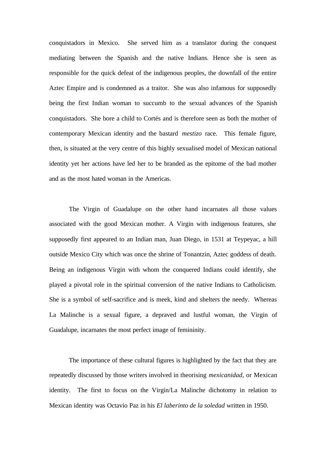conquistadors in Mexico. She served him as a translator during the conquest mediating between the Spanish and the native Indians. Hence she is seen as responsible for the quick defeat of the indigenous peoples, the downfall of the entire Aztec Empire and is condemned as a traitor. She was also infamous for supposedly being the first Indian woman to succumb to the sexual advances of the Spanish conquistadors. She bore a child to Cortés and is therefore seen as both the mother of contemporary Mexican identity and the bastard *mestizo* race. This female figure, then, is situated at the very centre of this highly sexualised model of Mexican national identity yet her actions have led her to be branded as the epitome of the bad mother and as the most hated woman in the Americas.

The Virgin of Guadalupe on the other hand incarnates all those values associated with the good Mexican mother. A Virgin with indigenous features, she supposedly first appeared to an Indian man, Juan Diego, in 1531 at Teypeyac, a hill outside Mexico City which was once the shrine of Tonantzin, Aztec goddess of death. Being an indigenous Virgin with whom the conquered Indians could identify, she played a pivotal role in the spiritual conversion of the native Indians to Catholicism. She is a symbol of self-sacrifice and is meek, kind and shelters the needy. Whereas La Malinche is a sexual figure, a depraved and lustful woman, the Virgin of Guadalupe, incarnates the most perfect image of femininity.

The importance of these cultural figures is highlighted by the fact that they are repeatedly discussed by those writers involved in theorising *mexicanidad*, or Mexican identity. The first to focus on the Virgin/La Malinche dichotomy in relation to Mexican identity was Octavio Paz in his *El laberinto de la soledad* written in 1950.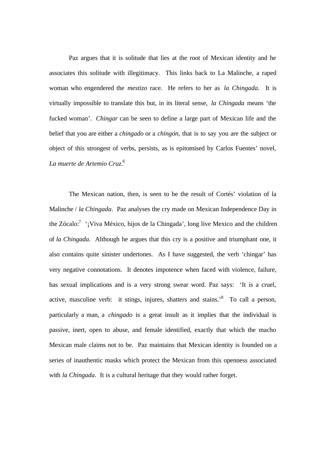Paz argues that it is solitude that lies at the root of Mexican identity and he associates this solitude with illegitimacy. This links back to La Malinche, a raped woman who engendered the *mestizo* race. He refers to her as *la Chingada*. It is virtually impossible to translate this but, in its literal sense, *la Chingada* means 'the fucked woman'. *Chingar* can be seen to define a large part of Mexican life and the belief that you are either a *chingado* or a *chingón*, that is to say you are the subject or object of this strongest of verbs, persists, as is epitomised by Carlos Fuentes' novel, *La muerte de Artemio Cruz*. 6

The Mexican nation, then, is seen to be the result of Cortés' violation of la Malinche / *la Chingada*. Paz analyses the cry made on Mexican Independence Day in the Zócalo:<sup>7</sup> '¡Viva México, hijos de la Chingada', long live Mexico and the children of *la Chingada*. Although he argues that this cry is a positive and triumphant one, it also contains quite sinister undertones. As I have suggested, the verb 'chingar' has very negative connotations. It denotes impotence when faced with violence, failure, has sexual implications and is a very strong swear word. Paz says: 'It is a cruel, active, masculine verb: it stings, injures, shatters and stains.<sup>8</sup> To call a person, particularly a man, a *chingado* is a great insult as it implies that the individual is passive, inert, open to abuse, and female identified, exactly that which the macho Mexican male claims not to be. Paz maintains that Mexican identity is founded on a series of inauthentic masks which protect the Mexican from this openness associated with *la Chingada*. It is a cultural heritage that they would rather forget.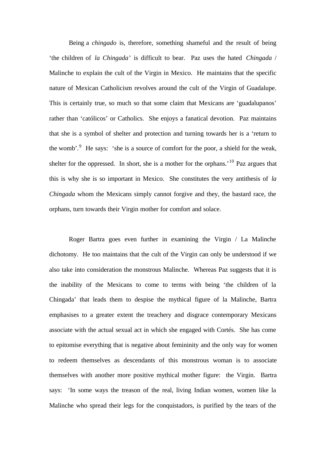Being a *chingado* is, therefore, something shameful and the result of being 'the children of *la Chingada*' is difficult to bear. Paz uses the hated *Chingada* / Malinche to explain the cult of the Virgin in Mexico. He maintains that the specific nature of Mexican Catholicism revolves around the cult of the Virgin of Guadalupe. This is certainly true, so much so that some claim that Mexicans are 'guadalupanos' rather than 'católicos' or Catholics. She enjoys a fanatical devotion. Paz maintains that she is a symbol of shelter and protection and turning towards her is a 'return to the womb'.<sup>9</sup> He says: 'she is a source of comfort for the poor, a shield for the weak, shelter for the oppressed. In short, she is a mother for the orphans.<sup>'10</sup> Paz argues that this is why she is so important in Mexico. She constitutes the very antithesis of *la Chingada* whom the Mexicans simply cannot forgive and they, the bastard race, the orphans, turn towards their Virgin mother for comfort and solace.

Roger Bartra goes even further in examining the Virgin / La Malinche dichotomy. He too maintains that the cult of the Virgin can only be understood if we also take into consideration the monstrous Malinche. Whereas Paz suggests that it is the inability of the Mexicans to come to terms with being 'the children of la Chingada' that leads them to despise the mythical figure of la Malinche, Bartra emphasises to a greater extent the treachery and disgrace contemporary Mexicans associate with the actual sexual act in which she engaged with Cortés. She has come to epitomise everything that is negative about femininity and the only way for women to redeem themselves as descendants of this monstrous woman is to associate themselves with another more positive mythical mother figure: the Virgin. Bartra says: 'In some ways the treason of the real, living Indian women, women like la Malinche who spread their legs for the conquistadors, is purified by the tears of the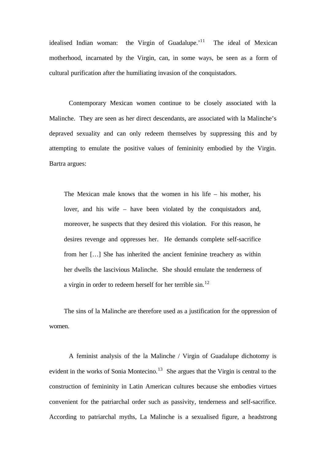idealised Indian woman: the Virgin of Guadalupe.<sup>'11</sup> The ideal of Mexican motherhood, incarnated by the Virgin, can, in some ways, be seen as a form of cultural purification after the humiliating invasion of the conquistadors.

Contemporary Mexican women continue to be closely associated with la Malinche. They are seen as her direct descendants, are associated with la Malinche's depraved sexuality and can only redeem themselves by suppressing this and by attempting to emulate the positive values of femininity embodied by the Virgin. Bartra argues:

The Mexican male knows that the women in his life – his mother, his lover, and his wife – have been violated by the conquistadors and, moreover, he suspects that they desired this violation. For this reason, he desires revenge and oppresses her. He demands complete self-sacrifice from her […] She has inherited the ancient feminine treachery as within her dwells the lascivious Malinche. She should emulate the tenderness of a virgin in order to redeem herself for her terrible  $\sin^{12}$ 

The sins of la Malinche are therefore used as a justification for the oppression of women.

A feminist analysis of the la Malinche / Virgin of Guadalupe dichotomy is evident in the works of Sonia Montecino.<sup>13</sup> She argues that the Virgin is central to the construction of femininity in Latin American cultures because she embodies virtues convenient for the patriarchal order such as passivity, tenderness and self-sacrifice. According to patriarchal myths, La Malinche is a sexualised figure, a headstrong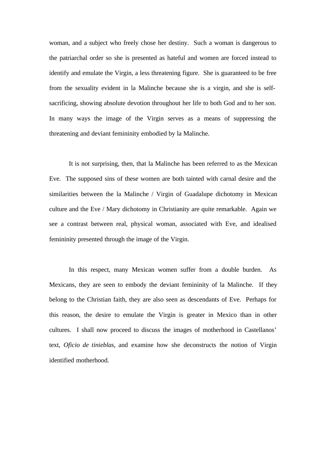woman, and a subject who freely chose her destiny. Such a woman is dangerous to the patriarchal order so she is presented as hateful and women are forced instead to identify and emulate the Virgin, a less threatening figure. She is guaranteed to be free from the sexuality evident in la Malinche because she is a virgin, and she is selfsacrificing, showing absolute devotion throughout her life to both God and to her son. In many ways the image of the Virgin serves as a means of suppressing the threatening and deviant femininity embodied by la Malinche.

It is not surprising, then, that la Malinche has been referred to as the Mexican Eve. The supposed sins of these women are both tainted with carnal desire and the similarities between the la Malinche / Virgin of Guadalupe dichotomy in Mexican culture and the Eve / Mary dichotomy in Christianity are quite remarkable. Again we see a contrast between real, physical woman, associated with Eve, and idealised femininity presented through the image of the Virgin.

In this respect, many Mexican women suffer from a double burden. As Mexicans, they are seen to embody the deviant femininity of la Malinche. If they belong to the Christian faith, they are also seen as descendants of Eve. Perhaps for this reason, the desire to emulate the Virgin is greater in Mexico than in other cultures. I shall now proceed to discuss the images of motherhood in Castellanos' text, *Oficio de tinieblas*, and examine how she deconstructs the notion of Virgin identified motherhood.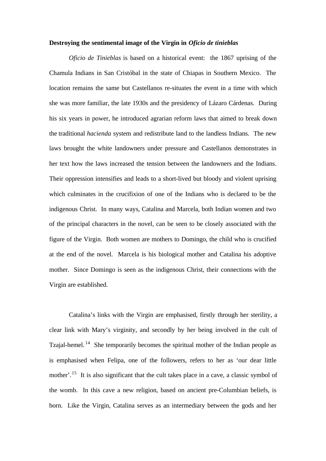#### **Destroying the sentimental image of the Virgin in** *Oficio de tinieblas*

*Oficio de Tinieblas* is based on a historical event: the 1867 uprising of the Chamula Indians in San Cristóbal in the state of Chiapas in Southern Mexico. The location remains the same but Castellanos re-situates the event in a time with which she was more familiar, the late 1930s and the presidency of Lázaro Cárdenas. During his six years in power, he introduced agrarian reform laws that aimed to break down the traditional *hacienda* system and redistribute land to the landless Indians. The new laws brought the white landowners under pressure and Castellanos demonstrates in her text how the laws increased the tension between the landowners and the Indians. Their oppression intensifies and leads to a short-lived but bloody and violent uprising which culminates in the crucifixion of one of the Indians who is declared to be the indigenous Christ. In many ways, Catalina and Marcela, both Indian women and two of the principal characters in the novel, can be seen to be closely associated with the figure of the Virgin. Both women are mothers to Domingo, the child who is crucified at the end of the novel. Marcela is his biological mother and Catalina his adoptive mother. Since Domingo is seen as the indigenous Christ, their connections with the Virgin are established.

Catalina's links with the Virgin are emphasised, firstly through her sterility, a clear link with Mary's virginity, and secondly by her being involved in the cult of Tzajal-hemel.<sup>14</sup> She temporarily becomes the spiritual mother of the Indian people as is emphasised when Felipa, one of the followers, refers to her as 'our dear little mother'.<sup>15</sup> It is also significant that the cult takes place in a cave, a classic symbol of the womb. In this cave a new religion, based on ancient pre-Columbian beliefs, is born. Like the Virgin, Catalina serves as an intermediary between the gods and her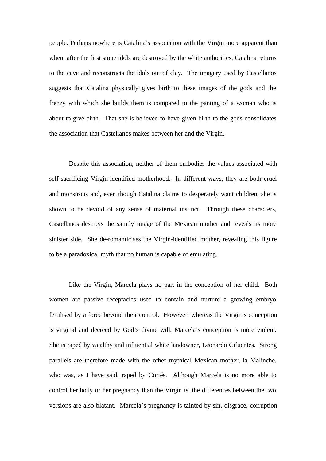people. Perhaps nowhere is Catalina's association with the Virgin more apparent than when, after the first stone idols are destroyed by the white authorities, Catalina returns to the cave and reconstructs the idols out of clay. The imagery used by Castellanos suggests that Catalina physically gives birth to these images of the gods and the frenzy with which she builds them is compared to the panting of a woman who is about to give birth. That she is believed to have given birth to the gods consolidates the association that Castellanos makes between her and the Virgin.

Despite this association, neither of them embodies the values associated with self-sacrificing Virgin-identified motherhood. In different ways, they are both cruel and monstrous and, even though Catalina claims to desperately want children, she is shown to be devoid of any sense of maternal instinct. Through these characters, Castellanos destroys the saintly image of the Mexican mother and reveals its more sinister side. She de-romanticises the Virgin-identified mother, revealing this figure to be a paradoxical myth that no human is capable of emulating.

Like the Virgin, Marcela plays no part in the conception of her child. Both women are passive receptacles used to contain and nurture a growing embryo fertilised by a force beyond their control. However, whereas the Virgin's conception is virginal and decreed by God's divine will, Marcela's conception is more violent. She is raped by wealthy and influential white landowner, Leonardo Cifuentes. Strong parallels are therefore made with the other mythical Mexican mother, la Malinche, who was, as I have said, raped by Cortés. Although Marcela is no more able to control her body or her pregnancy than the Virgin is, the differences between the two versions are also blatant. Marcela's pregnancy is tainted by sin, disgrace, corruption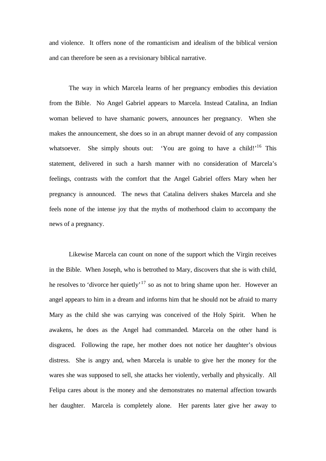and violence. It offers none of the romanticism and idealism of the biblical version and can therefore be seen as a revisionary biblical narrative.

The way in which Marcela learns of her pregnancy embodies this deviation from the Bible. No Angel Gabriel appears to Marcela. Instead Catalina, an Indian woman believed to have shamanic powers, announces her pregnancy. When she makes the announcement, she does so in an abrupt manner devoid of any compassion whatsoever. She simply shouts out: 'You are going to have a child!'<sup>16</sup> This statement, delivered in such a harsh manner with no consideration of Marcela's feelings, contrasts with the comfort that the Angel Gabriel offers Mary when her pregnancy is announced. The news that Catalina delivers shakes Marcela and she feels none of the intense joy that the myths of motherhood claim to accompany the news of a pregnancy.

Likewise Marcela can count on none of the support which the Virgin receives in the Bible. When Joseph, who is betrothed to Mary, discovers that she is with child, he resolves to 'divorce her quietly'<sup>17</sup> so as not to bring shame upon her. However an angel appears to him in a dream and informs him that he should not be afraid to marry Mary as the child she was carrying was conceived of the Holy Spirit. When he awakens, he does as the Angel had commanded. Marcela on the other hand is disgraced. Following the rape, her mother does not notice her daughter's obvious distress. She is angry and, when Marcela is unable to give her the money for the wares she was supposed to sell, she attacks her violently, verbally and physically. All Felipa cares about is the money and she demonstrates no maternal affection towards her daughter. Marcela is completely alone. Her parents later give her away to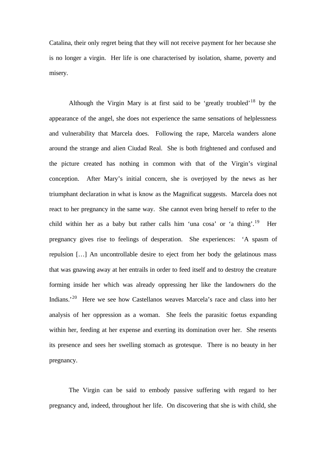Catalina, their only regret being that they will not receive payment for her because she is no longer a virgin. Her life is one characterised by isolation, shame, poverty and misery.

Although the Virgin Mary is at first said to be 'greatly troubled'<sup>18</sup> by the appearance of the angel, she does not experience the same sensations of helplessness and vulnerability that Marcela does. Following the rape, Marcela wanders alone around the strange and alien Ciudad Real. She is both frightened and confused and the picture created has nothing in common with that of the Virgin's virginal conception. After Mary's initial concern, she is overjoyed by the news as her triumphant declaration in what is know as the Magnificat suggests. Marcela does not react to her pregnancy in the same way. She cannot even bring herself to refer to the child within her as a baby but rather calls him 'una cosa' or 'a thing'.<sup>19</sup> Her pregnancy gives rise to feelings of desperation. She experiences: 'A spasm of repulsion […] An uncontrollable desire to eject from her body the gelatinous mass that was gnawing away at her entrails in order to feed itself and to destroy the creature forming inside her which was already oppressing her like the landowners do the Indians.'<sup>20</sup> Here we see how Castellanos weaves Marcela's race and class into her analysis of her oppression as a woman. She feels the parasitic foetus expanding within her, feeding at her expense and exerting its domination over her. She resents its presence and sees her swelling stomach as grotesque. There is no beauty in her pregnancy.

The Virgin can be said to embody passive suffering with regard to her pregnancy and, indeed, throughout her life. On discovering that she is with child, she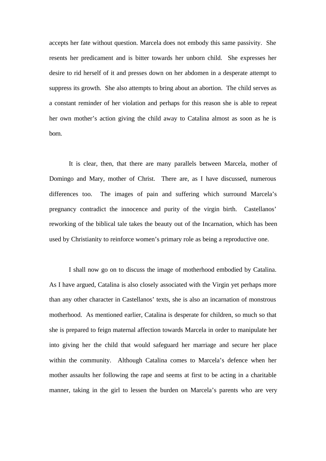accepts her fate without question. Marcela does not embody this same passivity. She resents her predicament and is bitter towards her unborn child. She expresses her desire to rid herself of it and presses down on her abdomen in a desperate attempt to suppress its growth. She also attempts to bring about an abortion. The child serves as a constant reminder of her violation and perhaps for this reason she is able to repeat her own mother's action giving the child away to Catalina almost as soon as he is born.

It is clear, then, that there are many parallels between Marcela, mother of Domingo and Mary, mother of Christ. There are, as I have discussed, numerous differences too. The images of pain and suffering which surround Marcela's pregnancy contradict the innocence and purity of the virgin birth. Castellanos' reworking of the biblical tale takes the beauty out of the Incarnation, which has been used by Christianity to reinforce women's primary role as being a reproductive one.

I shall now go on to discuss the image of motherhood embodied by Catalina. As I have argued, Catalina is also closely associated with the Virgin yet perhaps more than any other character in Castellanos' texts, she is also an incarnation of monstrous motherhood. As mentioned earlier, Catalina is desperate for children, so much so that she is prepared to feign maternal affection towards Marcela in order to manipulate her into giving her the child that would safeguard her marriage and secure her place within the community. Although Catalina comes to Marcela's defence when her mother assaults her following the rape and seems at first to be acting in a charitable manner, taking in the girl to lessen the burden on Marcela's parents who are very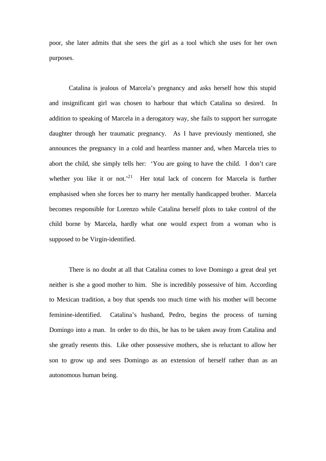poor, she later admits that she sees the girl as a tool which she uses for her own purposes.

Catalina is jealous of Marcela's pregnancy and asks herself how this stupid and insignificant girl was chosen to harbour that which Catalina so desired. In addition to speaking of Marcela in a derogatory way, she fails to support her surrogate daughter through her traumatic pregnancy. As I have previously mentioned, she announces the pregnancy in a cold and heartless manner and, when Marcela tries to abort the child, she simply tells her: 'You are going to have the child. I don't care whether you like it or not.<sup>21</sup> Her total lack of concern for Marcela is further emphasised when she forces her to marry her mentally handicapped brother. Marcela becomes responsible for Lorenzo while Catalina herself plots to take control of the child borne by Marcela, hardly what one would expect from a woman who is supposed to be Virgin-identified.

There is no doubt at all that Catalina comes to love Domingo a great deal yet neither is she a good mother to him. She is incredibly possessive of him. According to Mexican tradition, a boy that spends too much time with his mother will become feminine-identified. Catalina's husband, Pedro, begins the process of turning Domingo into a man. In order to do this, he has to be taken away from Catalina and she greatly resents this. Like other possessive mothers, she is reluctant to allow her son to grow up and sees Domingo as an extension of herself rather than as an autonomous human being.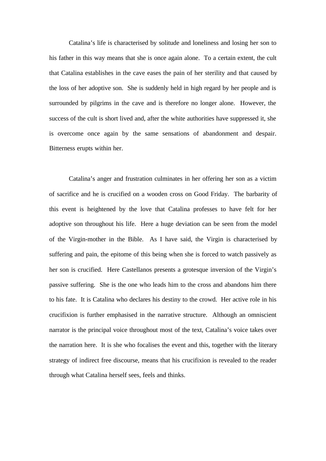Catalina's life is characterised by solitude and loneliness and losing her son to his father in this way means that she is once again alone. To a certain extent, the cult that Catalina establishes in the cave eases the pain of her sterility and that caused by the loss of her adoptive son. She is suddenly held in high regard by her people and is surrounded by pilgrims in the cave and is therefore no longer alone. However, the success of the cult is short lived and, after the white authorities have suppressed it, she is overcome once again by the same sensations of abandonment and despair. Bitterness erupts within her.

Catalina's anger and frustration culminates in her offering her son as a victim of sacrifice and he is crucified on a wooden cross on Good Friday. The barbarity of this event is heightened by the love that Catalina professes to have felt for her adoptive son throughout his life. Here a huge deviation can be seen from the model of the Virgin-mother in the Bible. As I have said, the Virgin is characterised by suffering and pain, the epitome of this being when she is forced to watch passively as her son is crucified. Here Castellanos presents a grotesque inversion of the Virgin's passive suffering. She is the one who leads him to the cross and abandons him there to his fate. It is Catalina who declares his destiny to the crowd. Her active role in his crucifixion is further emphasised in the narrative structure. Although an omniscient narrator is the principal voice throughout most of the text, Catalina's voice takes over the narration here. It is she who focalises the event and this, together with the literary strategy of indirect free discourse, means that his crucifixion is revealed to the reader through what Catalina herself sees, feels and thinks.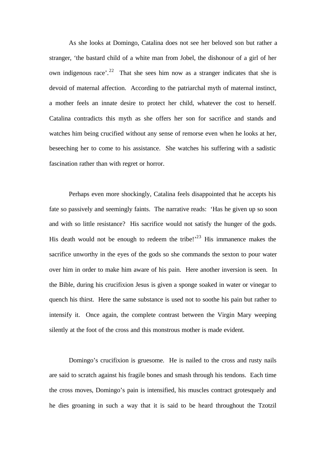As she looks at Domingo, Catalina does not see her beloved son but rather a stranger, 'the bastard child of a white man from Jobel, the dishonour of a girl of her own indigenous race'.<sup>22</sup> That she sees him now as a stranger indicates that she is devoid of maternal affection. According to the patriarchal myth of maternal instinct, a mother feels an innate desire to protect her child, whatever the cost to herself. Catalina contradicts this myth as she offers her son for sacrifice and stands and watches him being crucified without any sense of remorse even when he looks at her, beseeching her to come to his assistance. She watches his suffering with a sadistic fascination rather than with regret or horror.

Perhaps even more shockingly, Catalina feels disappointed that he accepts his fate so passively and seemingly faints. The narrative reads: 'Has he given up so soon and with so little resistance? His sacrifice would not satisfy the hunger of the gods. His death would not be enough to redeem the tribe!<sup> $23$ </sup> His immanence makes the sacrifice unworthy in the eyes of the gods so she commands the sexton to pour water over him in order to make him aware of his pain. Here another inversion is seen. In the Bible, during his crucifixion Jesus is given a sponge soaked in water or vinegar to quench his thirst. Here the same substance is used not to soothe his pain but rather to intensify it. Once again, the complete contrast between the Virgin Mary weeping silently at the foot of the cross and this monstrous mother is made evident.

Domingo's crucifixion is gruesome. He is nailed to the cross and rusty nails are said to scratch against his fragile bones and smash through his tendons. Each time the cross moves, Domingo's pain is intensified, his muscles contract grotesquely and he dies groaning in such a way that it is said to be heard throughout the Tzotzil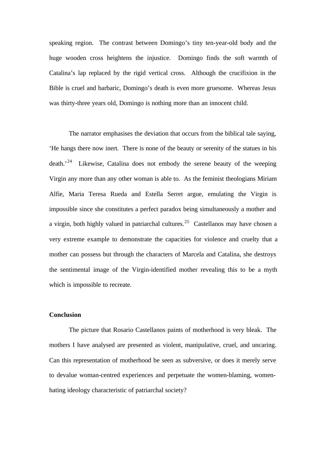speaking region. The contrast between Domingo's tiny ten-year-old body and the huge wooden cross heightens the injustice. Domingo finds the soft warmth of Catalina's lap replaced by the rigid vertical cross. Although the crucifixion in the Bible is cruel and barbaric, Domingo's death is even more gruesome. Whereas Jesus was thirty-three years old, Domingo is nothing more than an innocent child.

The narrator emphasises the deviation that occurs from the biblical tale saying, 'He hangs there now inert. There is none of the beauty or serenity of the statues in his  $death.^{24}$  Likewise, Catalina does not embody the serene beauty of the weeping Virgin any more than any other woman is able to. As the feminist theologians Miriam Alfie, Maria Teresa Rueda and Estella Serret argue, emulating the Virgin is impossible since she constitutes a perfect paradox being simultaneously a mother and a virgin, both highly valued in patriarchal cultures.<sup>25</sup> Castellanos may have chosen a very extreme example to demonstrate the capacities for violence and cruelty that a mother can possess but through the characters of Marcela and Catalina, she destroys the sentimental image of the Virgin-identified mother revealing this to be a myth which is impossible to recreate.

#### **Conclusion**

The picture that Rosario Castellanos paints of motherhood is very bleak. The mothers I have analysed are presented as violent, manipulative, cruel, and uncaring. Can this representation of motherhood be seen as subversive, or does it merely serve to devalue woman-centred experiences and perpetuate the women-blaming, womenhating ideology characteristic of patriarchal society?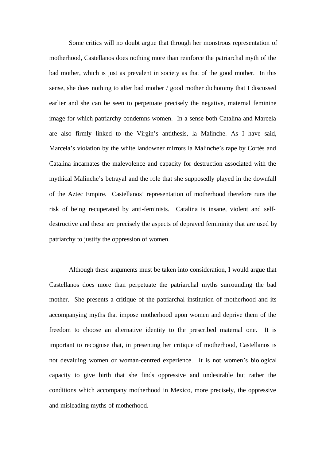Some critics will no doubt argue that through her monstrous representation of motherhood, Castellanos does nothing more than reinforce the patriarchal myth of the bad mother, which is just as prevalent in society as that of the good mother. In this sense, she does nothing to alter bad mother / good mother dichotomy that I discussed earlier and she can be seen to perpetuate precisely the negative, maternal feminine image for which patriarchy condemns women. In a sense both Catalina and Marcela are also firmly linked to the Virgin's antithesis, la Malinche. As I have said, Marcela's violation by the white landowner mirrors la Malinche's rape by Cortés and Catalina incarnates the malevolence and capacity for destruction associated with the mythical Malinche's betrayal and the role that she supposedly played in the downfall of the Aztec Empire. Castellanos' representation of motherhood therefore runs the risk of being recuperated by anti-feminists. Catalina is insane, violent and selfdestructive and these are precisely the aspects of depraved femininity that are used by patriarchy to justify the oppression of women.

Although these arguments must be taken into consideration, I would argue that Castellanos does more than perpetuate the patriarchal myths surrounding the bad mother. She presents a critique of the patriarchal institution of motherhood and its accompanying myths that impose motherhood upon women and deprive them of the freedom to choose an alternative identity to the prescribed maternal one. It is important to recognise that, in presenting her critique of motherhood, Castellanos is not devaluing women or woman-centred experience. It is not women's biological capacity to give birth that she finds oppressive and undesirable but rather the conditions which accompany motherhood in Mexico, more precisely, the oppressive and misleading myths of motherhood.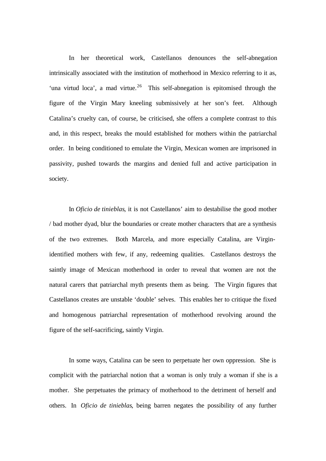In her theoretical work, Castellanos denounces the self-abnegation intrinsically associated with the institution of motherhood in Mexico referring to it as, 'una virtud loca', a mad virtue.<sup>26</sup> This self-abnegation is epitomised through the figure of the Virgin Mary kneeling submissively at her son's feet. Although Catalina's cruelty can, of course, be criticised, she offers a complete contrast to this and, in this respect, breaks the mould established for mothers within the patriarchal order. In being conditioned to emulate the Virgin, Mexican women are imprisoned in passivity, pushed towards the margins and denied full and active participation in society.

In *Oficio de tinieblas*, it is not Castellanos' aim to destabilise the good mother / bad mother dyad, blur the boundaries or create mother characters that are a synthesis of the two extremes. Both Marcela, and more especially Catalina, are Virginidentified mothers with few, if any, redeeming qualities. Castellanos destroys the saintly image of Mexican motherhood in order to reveal that women are not the natural carers that patriarchal myth presents them as being. The Virgin figures that Castellanos creates are unstable 'double' selves. This enables her to critique the fixed and homogenous patriarchal representation of motherhood revolving around the figure of the self-sacrificing, saintly Virgin.

In some ways, Catalina can be seen to perpetuate her own oppression. She is complicit with the patriarchal notion that a woman is only truly a woman if she is a mother. She perpetuates the primacy of motherhood to the detriment of herself and others. In *Oficio de tinieblas*, being barren negates the possibility of any further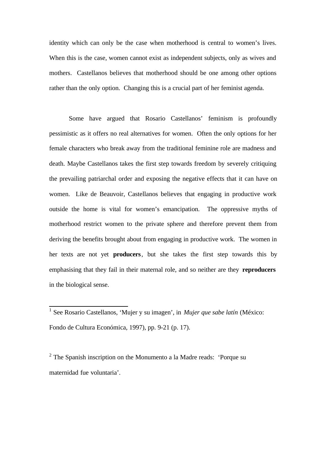identity which can only be the case when motherhood is central to women's lives. When this is the case, women cannot exist as independent subjects, only as wives and mothers. Castellanos believes that motherhood should be one among other options rather than the only option. Changing this is a crucial part of her feminist agenda.

Some have argued that Rosario Castellanos' feminism is profoundly pessimistic as it offers no real alternatives for women. Often the only options for her female characters who break away from the traditional feminine role are madness and death. Maybe Castellanos takes the first step towards freedom by severely critiquing the prevailing patriarchal order and exposing the negative effects that it can have on women. Like de Beauvoir, Castellanos believes that engaging in productive work outside the home is vital for women's emancipation. The oppressive myths of motherhood restrict women to the private sphere and therefore prevent them from deriving the benefits brought about from engaging in productive work. The women in her texts are not yet **producers**, but she takes the first step towards this by emphasising that they fail in their maternal role, and so neither are they **reproducers** in the biological sense.

 1 See Rosario Castellanos, 'Mujer y su imagen', in *Mujer que sabe latín* (México: Fondo de Cultura Económica, 1997), pp. 9-21 (p. 17).

<sup>2</sup> The Spanish inscription on the Monumento a la Madre reads: 'Porque su maternidad fue voluntaria'.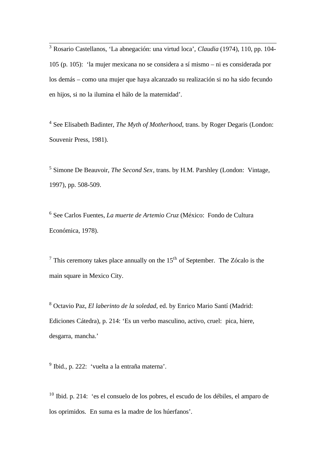3 Rosario Castellanos, 'La abnegación: una virtud loca', *Claudia* (1974), 110, pp. 104- 105 (p. 105): 'la mujer mexicana no se considera a sí mismo – ni es considerada por los demás – como una mujer que haya alcanzado su realización si no ha sido fecundo en hijos, si no la ilumina el hálo de la maternidad'.

<sup>4</sup> See Elisabeth Badinter, *The Myth of Motherhood*, trans. by Roger Degaris (London: Souvenir Press, 1981).

5 Simone De Beauvoir, *The Second Sex*, trans. by H.M. Parshley (London: Vintage, 1997), pp. 508-509.

6 See Carlos Fuentes, *La muerte de Artemio Cruz* (México: Fondo de Cultura Económica, 1978).

<sup>7</sup> This ceremony takes place annually on the  $15<sup>th</sup>$  of September. The Zócalo is the main square in Mexico City.

8 Octavio Paz, *El laberinto de la soledad*, ed. by Enrico Mario Santí (Madrid: Ediciones Cátedra), p. 214: 'Es un verbo masculino, activo, cruel: pica, hiere, desgarra, mancha.'

<sup>9</sup> Ibid., p. 222: 'vuelta a la entraña materna'.

<sup>10</sup> Ibid. p. 214: 'es el consuelo de los pobres, el escudo de los débiles, el amparo de los oprimidos. En suma es la madre de los húerfanos'.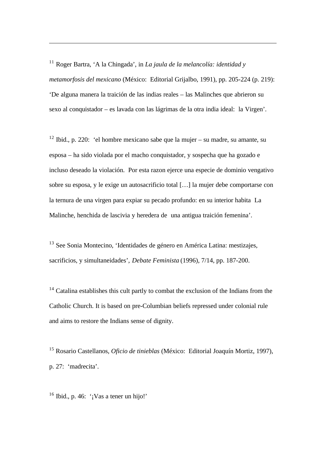<sup>11</sup> Roger Bartra, 'A la Chingada', in *La jaula de la melancolía: identidad y metamorfosis del mexicano* (México: Editorial Grijalbo, 1991), pp. 205-224 (p. 219): 'De alguna manera la traición de las indias reales – las Malinches que abrieron su sexo al conquistador – es lavada con las lágrimas de la otra india ideal: la Virgen'.

 $12$  Ibid., p. 220: 'el hombre mexicano sabe que la mujer – su madre, su amante, su esposa – ha sido violada por el macho conquistador, y sospecha que ha gozado e incluso deseado la violación. Por esta razon ejerce una especie de dominio vengativo sobre su esposa, y le exige un autosacrificio total […] la mujer debe comportarse con la ternura de una virgen para expiar su pecado profundo: en su interior habita La Malinche, henchida de lascivia y heredera de una antigua traición femenina'.

<sup>13</sup> See Sonia Montecino, 'Identidades de género en América Latina: mestizajes, sacrificios, y simultaneidades', *Debate Feminista* (1996), 7/14, pp. 187-200.

<sup>14</sup> Catalina establishes this cult partly to combat the exclusion of the Indians from the Catholic Church. It is based on pre-Columbian beliefs repressed under colonial rule and aims to restore the Indians sense of dignity.

<sup>15</sup> Rosario Castellanos, *Oficio de tinieblas* (México: Editorial Joaquín Mortiz, 1997), p. 27: 'madrecita'.

 $16$  Ibid., p. 46: '¡Vas a tener un hijo!'

l